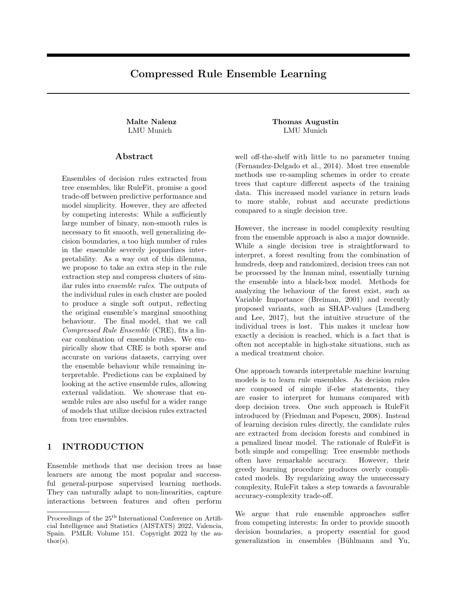## Compressed Rule Ensemble Learning

### Abstract

Ensembles of decision rules extracted from tree ensembles, like RuleFit, promise a good trade-off between predictive performance and model simplicity. However, they are affected by competing interests: While a sufficiently large number of binary, non-smooth rules is necessary to fit smooth, well generalizing decision boundaries, a too high number of rules in the ensemble severely jeopardizes interpretability. As a way out of this dilemma, we propose to take an extra step in the rule extraction step and compress clusters of similar rules into ensemble rules. The outputs of the individual rules in each cluster are pooled to produce a single soft output, reflecting the original ensemble's marginal smoothing behaviour. The final model, that we call Compressed Rule Ensemble (CRE), fits a linear combination of ensemble rules. We empirically show that CRE is both sparse and accurate on various datasets, carrying over the ensemble behaviour while remaining interpretable. Predictions can be explained by looking at the active ensemble rules, allowing external validation. We showcase that ensemble rules are also useful for a wider range of models that utilize decision rules extracted from tree ensembles.

## 1 INTRODUCTION

Ensemble methods that use decision trees as base learners are among the most popular and successful general-purpose supervised learning methods. They can naturally adapt to non-linearities, capture interactions between features and often perform

Malte Nalenz Thomas Augustin LMU Munich LMU Munich

> well off-the-shelf with little to no parameter tuning (Fernandez-Delgado et al., 2014). Most tree ensemble methods use re-sampling schemes in order to create trees that capture different aspects of the training data. This increased model variance in return leads to more stable, robust and accurate predictions compared to a single decision tree.

> However, the increase in model complexity resulting from the ensemble approach is also a major downside. While a single decision tree is straightforward to interpret, a forest resulting from the combination of hundreds, deep and randomized, decision trees can not be processed by the human mind, essentially turning the ensemble into a black-box model. Methods for analyzing the behaviour of the forest exist, such as Variable Importance (Breiman, 2001) and recently proposed variants, such as SHAP-values (Lundberg and Lee, 2017), but the intuitive structure of the individual trees is lost. This makes it unclear how exactly a decision is reached, which is a fact that is often not acceptable in high-stake situations, such as a medical treatment choice.

> One approach towards interpretable machine learning models is to learn rule ensembles. As decision rules are composed of simple if-else statements, they are easier to interpret for humans compared with deep decision trees. One such approach is RuleFit introduced by (Friedman and Popescu, 2008). Instead of learning decision rules directly, the candidate rules are extracted from decision forests and combined in a penalized linear model. The rationale of RuleFit is both simple and compelling: Tree ensemble methods often have remarkable accuracy. However, their greedy learning procedure produces overly complicated models. By regularizing away the unnecessary complexity, RuleFit takes a step towards a favourable accuracy-complexity trade-off.

> We argue that rule ensemble approaches suffer from competing interests: In order to provide smooth decision boundaries, a property essential for good generalization in ensembles (Bühlmann and Yu,

Proceedings of the 25<sup>th</sup> International Conference on Artificial Intelligence and Statistics (AISTATS) 2022, Valencia, Spain. PMLR: Volume 151. Copyright 2022 by the au- $\text{thor}(s)$ .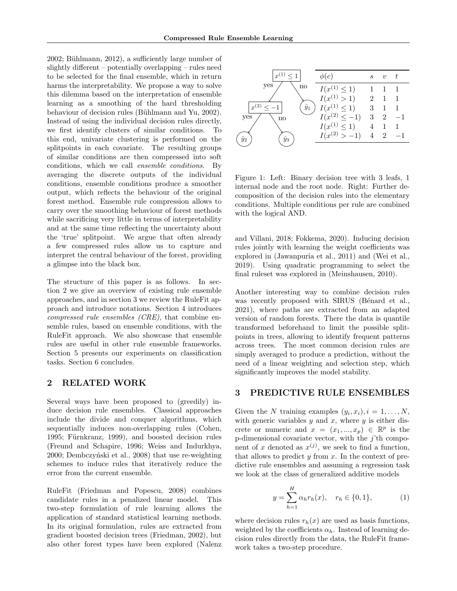$2002$ ; Bühlmann,  $2012$ ), a sufficiently large number of slightly different – potentially overlapping – rules need to be selected for the final ensemble, which in return harms the interpretability. We propose a way to solve this dilemma based on the interpretation of ensemble learning as a smoothing of the hard thresholding behaviour of decision rules (Bühlmann and Yu, 2002). Instead of using the individual decision rules directly, we first identify clusters of similar conditions. To this end, univariate clustering is performed on the splitpoints in each covariate. The resulting groups of similar conditions are then compressed into soft conditions, which we call ensemble conditions. By averaging the discrete outputs of the individual conditions, ensemble conditions produce a smoother output, which reflects the behaviour of the original forest method. Ensemble rule compression allows to carry over the smoothing behaviour of forest methods while sacrificing very little in terms of interpretability and at the same time reflecting the uncertainty about the 'true' splitpoint. We argue that often already a few compressed rules allow us to capture and interpret the central behaviour of the forest, providing a glimpse into the black box.

The structure of this paper is as follows. In section 2 we give an overview of existing rule ensemble approaches, and in section 3 we review the RuleFit approach and introduce notations. Section 4 introduces compressed rule ensembles (CRE), that combine ensemble rules, based on ensemble conditions, with the RuleFit approach. We also showcase that ensemble rules are useful in other rule ensemble frameworks. Section 5 presents our experiments on classification tasks. Section 6 concludes.

## 2 RELATED WORK

Several ways have been proposed to (greedily) induce decision rule ensembles. Classical approaches include the divide and conquer algorithms, which sequentially induces non-overlapping rules (Cohen, 1995; Fürnkranz, 1999), and boosted decision rules (Freund and Schapire, 1996; Weiss and Indurkhya, 2000; Dembczyński et al., 2008) that use re-weighting schemes to induce rules that iteratively reduce the error from the current ensemble.

RuleFit (Friedman and Popescu, 2008) combines candidate rules in a penalized linear model. This two-step formulation of rule learning allows the application of standard statistical learning methods. In its original formulation, rules are extracted from gradient boosted decision trees (Friedman, 2002), but also other forest types have been explored (Nalenz



Figure 1: Left: Binary decision tree with 3 leafs, 1 internal node and the root node. Right: Further decomposition of the decision rules into the elementary conditions. Multiple conditions per rule are combined with the logical AND.

and Villani, 2018; Fokkema, 2020). Inducing decision rules jointly with learning the weight coefficients was explored in (Jawanpuria et al., 2011) and (Wei et al., 2019). Using quadratic programming to select the final ruleset was explored in (Meinshausen, 2010).

Another interesting way to combine decision rules was recently proposed with SIRUS (Bénard et al., 2021), where paths are extracted from an adapted version of random forests. There the data is quantile transformed beforehand to limit the possible splitpoints in trees, allowing to identify frequent patterns across trees. The most common decision rules are simply averaged to produce a prediction, without the need of a linear weighting and selection step, which significantly improves the model stability.

### 3 PREDICTIVE RULE ENSEMBLES

Given the N training examples  $(y_i, x_i)$ ,  $i = 1, ..., N$ , with generic variables  $y$  and  $x$ , where  $y$  is either discrete or numeric and  $x = (x_1, ..., x_p) \in \mathbb{R}^p$  is the p-dimensional covariate vector, with the  $j$ 'th component of x denoted as  $x^{(j)}$ , we seek to find a function, that allows to predict  $y$  from  $x$ . In the context of predictive rule ensembles and assuming a regression task we look at the class of generalized additive models

$$
y = \sum_{h=1}^{H} \alpha_h r_h(x), \quad r_h \in \{0, 1\},
$$
 (1)

where decision rules  $r_h(x)$  are used as basis functions, weighted by the coefficients  $\alpha_h$ . Instead of learning decision rules directly from the data, the RuleFit framework takes a two-step procedure.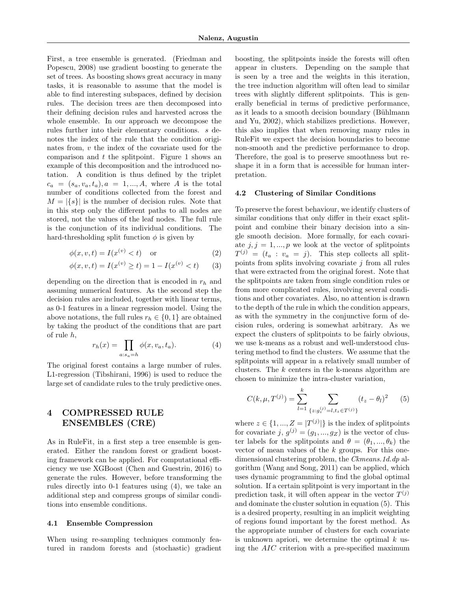First, a tree ensemble is generated. (Friedman and Popescu, 2008) use gradient boosting to generate the set of trees. As boosting shows great accuracy in many tasks, it is reasonable to assume that the model is able to find interesting subspaces, defined by decision rules. The decision trees are then decomposed into their defining decision rules and harvested across the whole ensemble. In our approach we decompose the rules further into their elementary conditions. s denotes the index of the rule that the condition originates from,  $v$  the index of the covariate used for the comparison and  $t$  the splitpoint. Figure 1 shows an example of this decomposition and the introduced notation. A condition is thus defined by the triplet  $c_a = (s_a, v_a, t_a), a = 1, ..., A$ , where A is the total number of conditions collected from the forest and  $M = |\{s\}|$  is the number of decision rules. Note that in this step only the different paths to all nodes are stored, not the values of the leaf nodes. The full rule is the conjunction of its individual conditions. The hard-thresholding split function  $\phi$  is given by

$$
\phi(x, v, t) = I(x^{(v)} < t) \quad \text{or} \tag{2}
$$

$$
\phi(x, v, t) = I(x^{(v)} \ge t) = 1 - I(x^{(v)} < t)
$$
 (3)

depending on the direction that is encoded in  $r_h$  and assuming numerical features. As the second step the decision rules are included, together with linear terms, as 0-1 features in a linear regression model. Using the above notations, the full rules  $r_h \in \{0,1\}$  are obtained by taking the product of the conditions that are part of rule h,

$$
r_h(x) = \prod_{a:s_a=h} \phi(x, v_a, t_a). \tag{4}
$$

The original forest contains a large number of rules. L1-regression (Tibshirani, 1996) is used to reduce the large set of candidate rules to the truly predictive ones.

## 4 COMPRESSED RULE ENSEMBLES (CRE)

As in RuleFit, in a first step a tree ensemble is generated. Either the random forest or gradient boosting framework can be applied. For computational efficiency we use XGBoost (Chen and Guestrin, 2016) to generate the rules. However, before transforming the rules directly into 0-1 features using (4), we take an additional step and compress groups of similar conditions into ensemble conditions.

#### 4.1 Ensemble Compression

When using re-sampling techniques commonly featured in random forests and (stochastic) gradient boosting, the splitpoints inside the forests will often appear in clusters. Depending on the sample that is seen by a tree and the weights in this iteration, the tree induction algorithm will often lead to similar trees with slightly different splitpoints. This is generally beneficial in terms of predictive performance, as it leads to a smooth decision boundary (Bühlmann and Yu, 2002), which stabilizes predictions. However, this also implies that when removing many rules in RuleFit we expect the decision boundaries to become non-smooth and the predictive performance to drop. Therefore, the goal is to preserve smoothness but reshape it in a form that is accessible for human interpretation.

#### 4.2 Clustering of Similar Conditions

To preserve the forest behaviour, we identify clusters of similar conditions that only differ in their exact splitpoint and combine their binary decision into a single smooth decision. More formally, for each covariate  $j, j = 1, ..., p$  we look at the vector of splitpoints  $T^{(j)} = (t_a : v_a = j)$ . This step collects all splitpoints from splits involving covariate  $j$  from all rules that were extracted from the original forest. Note that the splitpoints are taken from single condition rules or from more complicated rules, involving several conditions and other covariates. Also, no attention is drawn to the depth of the rule in which the condition appears, as with the symmetry in the conjunctive form of decision rules, ordering is somewhat arbitrary. As we expect the clusters of splitpoints to be fairly obvious, we use k-means as a robust and well-understood clustering method to find the clusters. We assume that the splitpoints will appear in a relatively small number of clusters. The  $k$  centers in the k-means algorithm are chosen to minimize the intra-cluster variation,

$$
C(k, \mu, T^{(j)}) = \sum_{l=1}^{k} \sum_{\{z : g_z^{(j)} = l, t_z \in T^{(j)}\}} (t_z - \theta_l)^2
$$
 (5)

where  $z \in \{1, ..., Z = |T^{(j)}|\}$  is the index of splitpoints for covariate  $j, g^{(j)} = (g_1, ..., g_Z)$  is the vector of cluster labels for the splitpoints and  $\theta = (\theta_1, ..., \theta_k)$  the vector of mean values of the  $k$  groups. For this onedimensional clustering problem, the *Ckmeans.1d.dp* algorithm (Wang and Song, 2011) can be applied, which uses dynamic programming to find the global optimal solution. If a certain splitpoint is very important in the prediction task, it will often appear in the vector  $T^{(j)}$ and dominate the cluster solution in equation (5). This is a desired property, resulting in an implicit weighting of regions found important by the forest method. As the appropriate number of clusters for each covariate is unknown apriori, we determine the optimal  $k$  using the AIC criterion with a pre-specified maximum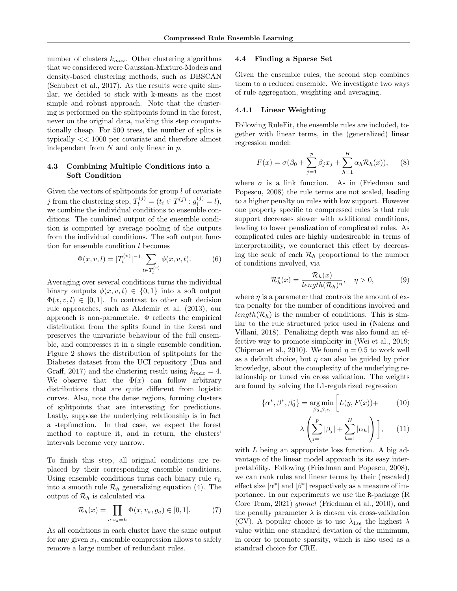number of clusters  $k_{max}$ . Other clustering algorithms that we considered were Gaussian-Mixture-Models and density-based clustering methods, such as DBSCAN (Schubert et al., 2017). As the results were quite similar, we decided to stick with k-means as the most simple and robust approach. Note that the clustering is performed on the splitpoints found in the forest, never on the original data, making this step computationally cheap. For 500 trees, the number of splits is typically << 1000 per covariate and therefore almost independent from  $N$  and only linear in  $p$ .

#### 4.3 Combining Multiple Conditions into a Soft Condition

Given the vectors of splitpoints for group  $l$  of covariate j from the clustering step,  $T_l^{(j)} = (t_i \in T^{(j)} : g_i^{(j)} = l)$ , we combine the individual conditions to ensemble conditions. The combined output of the ensemble condition is computed by average pooling of the outputs from the individual conditions. The soft output function for ensemble condition l becomes

$$
\Phi(x, v, l) = |T_l^{(v)}|^{-1} \sum_{t \in T_l^{(v)}} \phi(x, v, t).
$$
 (6)

Averaging over several conditions turns the individual binary outputs  $\phi(x, v, t) \in \{0, 1\}$  into a soft output  $\Phi(x, v, l) \in [0, 1]$ . In contrast to other soft decision rule approaches, such as Akdemir et al. (2013), our approach is non-parametric. Φ reflects the empirical distribution from the splits found in the forest and preserves the univariate behaviour of the full ensemble, and compresses it in a single ensemble condition. Figure 2 shows the distribution of splitpoints for the Diabetes dataset from the UCI repository (Dua and Graff, 2017) and the clustering result using  $k_{max} = 4$ . We observe that the  $\Phi(x)$  can follow arbitrary distributions that are quite different from logistic curves. Also, note the dense regions, forming clusters of splitpoints that are interesting for predictions. Lastly, suppose the underlying relationship is in fact a stepfunction. In that case, we expect the forest method to capture it, and in return, the clusters' intervals become very narrow.

To finish this step, all original conditions are replaced by their corresponding ensemble conditions. Using ensemble conditions turns each binary rule  $r_h$ into a smooth rule  $\mathcal{R}_h$  generalizing equation (4). The output of  $\mathcal{R}_h$  is calculated via

$$
\mathcal{R}_h(x) = \prod_{a:s_a=h} \Phi(x, v_a, g_a) \in [0, 1]. \tag{7}
$$

As all conditions in each cluster have the same output for any given  $x_i$ , ensemble compression allows to safely remove a large number of redundant rules.

#### 4.4 Finding a Sparse Set

Given the ensemble rules, the second step combines them to a reduced ensemble. We investigate two ways of rule aggregation, weighting and averaging.

#### 4.4.1 Linear Weighting

Following RuleFit, the ensemble rules are included, together with linear terms, in the (generalized) linear regression model:

$$
F(x) = \sigma(\beta_0 + \sum_{j=1}^p \beta_j x_j + \sum_{h=1}^H \alpha_h \mathcal{R}_h(x)), \quad (8)
$$

where  $\sigma$  is a link function. As in (Friedman and Popescu, 2008) the rule terms are not scaled, leading to a higher penalty on rules with low support. However one property specific to compressed rules is that rule support decreases slower with additional conditions, leading to lower penalization of complicated rules. As complicated rules are highly undesireable in terms of interpretability, we counteract this effect by decreasing the scale of each  $\mathcal{R}_h$  proportional to the number of conditions involved, via

$$
\mathcal{R}_h^*(x) = \frac{\mathcal{R}_h(x)}{\operatorname{length}(\mathcal{R}_h)^\eta}, \quad \eta > 0,\tag{9}
$$

where  $\eta$  is a parameter that controls the amount of extra penalty for the number of conditions involved and  $length(\mathcal{R}_h)$  is the number of conditions. This is similar to the rule structured prior used in (Nalenz and Villani, 2018). Penalizing depth was also found an effective way to promote simplicity in (Wei et al., 2019; Chipman et al., 2010). We found  $\eta = 0.5$  to work well as a default choice, but  $\eta$  can also be guided by prior knowledge, about the complexity of the underlying relationship or tuned via cross validation. The weights are found by solving the L1-regularized regression

$$
\{\alpha^*, \beta^*, \beta_0^*\} = \underset{\beta_0, \beta, \alpha}{\text{arg min}} \left[ L(y, F(x)) + \right] \tag{10}
$$

$$
\lambda \left( \sum_{j=1}^{p} |\beta_j| + \sum_{h=1}^{H} |\alpha_h| \right) \right], \qquad (11)
$$

with  $L$  being an appropriate loss function. A big advantage of the linear model approach is its easy interpretability. Following (Friedman and Popescu, 2008), we can rank rules and linear terms by their (rescaled) effect size  $|\alpha^*|$  and  $|\beta^*|$  respectively as a measure of importance. In our experiments we use the R-package (R Core Team, 2021) glmnet (Friedman et al., 2010), and the penalty parameter  $\lambda$  is chosen via cross-validation (CV). A popular choice is to use  $\lambda_{1se}$  the highest  $\lambda$ value within one standard deviation of the minimum, in order to promote sparsity, which is also used as a standrad choice for CRE.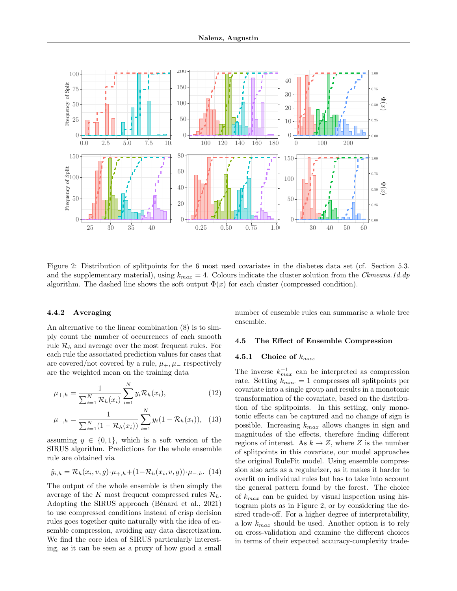

Figure 2: Distribution of splitpoints for the 6 most used covariates in the diabetes data set (cf. Section 5.3. and the supplementary material), using  $k_{max} = 4$ . Colours indicate the cluster solution from the Ckmeans.1d.dp algorithm. The dashed line shows the soft output  $\Phi(x)$  for each cluster (compressed condition).

#### 4.4.2 Averaging

An alternative to the linear combination (8) is to simply count the number of occurrences of each smooth rule  $\mathcal{R}_h$  and average over the most frequent rules. For each rule the associated prediction values for cases that are covered/not covered by a rule,  $\mu_+,\mu_-$  respectively are the weighted mean on the training data

$$
\mu_{+,h} = \frac{1}{\sum_{i=1}^{N} \mathcal{R}_h(x_i)} \sum_{i=1}^{N} y_i \mathcal{R}_h(x_i), \tag{12}
$$

$$
\mu_{-,h} = \frac{1}{\sum_{i=1}^{N} (1 - \mathcal{R}_h(x_i))} \sum_{i=1}^{N} y_i (1 - \mathcal{R}_h(x_i)), \quad (13)
$$

assuming  $y \in \{0, 1\}$ , which is a soft version of the SIRUS algorithm. Predictions for the whole ensemble rule are obtained via

$$
\hat{y}_{i,h} = \mathcal{R}_h(x_i, v, g) \cdot \mu_{+,h} + (1 - \mathcal{R}_h(x_i, v, g)) \cdot \mu_{-,h}. \tag{14}
$$

The output of the whole ensemble is then simply the average of the K most frequent compressed rules  $\mathcal{R}_h$ . Adopting the SIRUS approach (Bénard et al., 2021) to use compressed conditions instead of crisp decision rules goes together quite naturally with the idea of ensemble compression, avoiding any data discretization. We find the core idea of SIRUS particularly interesting, as it can be seen as a proxy of how good a small number of ensemble rules can summarise a whole tree ensemble.

#### 4.5 The Effect of Ensemble Compression

### 4.5.1 Choice of  $k_{max}$

The inverse  $k_{max}^{-1}$  can be interpreted as compression rate. Setting  $k_{max} = 1$  compresses all splitpoints per covariate into a single group and results in a monotonic transformation of the covariate, based on the distribution of the splitpoints. In this setting, only monotonic effects can be captured and no change of sign is possible. Increasing  $k_{max}$  allows changes in sign and magnitudes of the effects, therefore finding different regions of interest. As  $k \to Z$ , where Z is the number of splitpoints in this covariate, our model approaches the original RuleFit model. Using ensemble compression also acts as a regularizer, as it makes it harder to overfit on individual rules but has to take into account the general pattern found by the forest. The choice of  $k_{max}$  can be guided by visual inspection using histogram plots as in Figure 2, or by considering the desired trade-off. For a higher degree of interpretability, a low  $k_{max}$  should be used. Another option is to rely on cross-validation and examine the different choices in terms of their expected accuracy-complexity trade-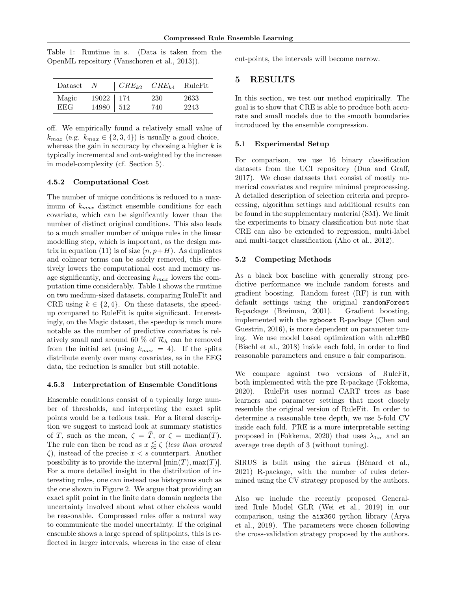Table 1: Runtime in s. (Data is taken from the OpenML repository (Vanschoren et al., 2013)).

| Dataset             | - N                                                         | $\mid CRE_{k2}$ | $CRE_{k4}$ | RuleFit      |
|---------------------|-------------------------------------------------------------|-----------------|------------|--------------|
| Magic<br><b>EEG</b> | $\begin{array}{c c} 19022 & 174 \\ 14980 & 512 \end{array}$ |                 | 230<br>740 | 2633<br>2243 |

off. We empirically found a relatively small value of  $k_{max}$  (e.g.  $k_{max} \in \{2, 3, 4\}$ ) is usually a good choice, whereas the gain in accuracy by choosing a higher  $k$  is typically incremental and out-weighted by the increase in model-complexity (cf. Section 5).

#### 4.5.2 Computational Cost

The number of unique conditions is reduced to a maximum of  $k_{max}$  distinct ensemble conditions for each covariate, which can be significantly lower than the number of distinct original conditions. This also leads to a much smaller number of unique rules in the linear modelling step, which is important, as the design matrix in equation (11) is of size  $(n, p+H)$ . As duplicates and colinear terms can be safely removed, this effectively lowers the computational cost and memory usage significantly, and decreasing  $k_{max}$  lowers the computation time considerably. Table 1 shows the runtime on two medium-sized datasets, comparing RuleFit and CRE using  $k \in \{2, 4\}$ . On these datasets, the speedup compared to RuleFit is quite significant. Interestingly, on the Magic dataset, the speedup is much more notable as the number of predictive covariates is relatively small and around 60  $\%$  of  $\mathcal{R}_h$  can be removed from the initial set (using  $k_{max} = 4$ ). If the splits distribute evenly over many covariates, as in the EEG data, the reduction is smaller but still notable.

#### 4.5.3 Interpretation of Ensemble Conditions

Ensemble conditions consist of a typically large number of thresholds, and interpreting the exact split points would be a tedious task. For a literal description we suggest to instead look at summary statistics of T, such as the mean,  $\zeta = \overline{T}$ , or  $\zeta = \text{median}(T)$ . The rule can then be read as  $x \lessapprox \zeta$  (less than around  $\zeta$ ), instead of the precise  $x < s$  counterpart. Another possibility is to provide the interval  $[\min(T), \max(T)]$ . For a more detailed insight in the distribution of interesting rules, one can instead use histograms such as the one shown in Figure 2. We argue that providing an exact split point in the finite data domain neglects the uncertainty involved about what other choices would be reasonable. Compressed rules offer a natural way to communicate the model uncertainty. If the original ensemble shows a large spread of splitpoints, this is reflected in larger intervals, whereas in the case of clear

cut-points, the intervals will become narrow.

### 5 RESULTS

In this section, we test our method empirically. The goal is to show that CRE is able to produce both accurate and small models due to the smooth boundaries introduced by the ensemble compression.

#### 5.1 Experimental Setup

For comparison, we use 16 binary classification datasets from the UCI repository (Dua and Graff, 2017). We chose datasets that consist of mostly numerical covariates and require minimal preprocessing. A detailed description of selection criteria and preprocessing, algorithm settings and additional results can be found in the supplementary material (SM). We limit the experiments to binary classification but note that CRE can also be extended to regression, multi-label and multi-target classification (Aho et al., 2012).

#### 5.2 Competing Methods

As a black box baseline with generally strong predictive performance we include random forests and gradient boosting. Random forest (RF) is run with default settings using the original randomForest R-package (Breiman, 2001). Gradient boosting, implemented with the xgboost R-package (Chen and Guestrin, 2016), is more dependent on parameter tuning. We use model based optimization with mlrMBO (Bischl et al., 2018) inside each fold, in order to find reasonable parameters and ensure a fair comparison.

We compare against two versions of RuleFit, both implemented with the pre R-package (Fokkema, 2020). RuleFit uses normal CART trees as base learners and parameter settings that most closely resemble the original version of RuleFit. In order to determine a reasonable tree depth, we use 5-fold CV inside each fold. PRE is a more interpretable setting proposed in (Fokkema, 2020) that uses  $\lambda_{1se}$  and an average tree depth of 3 (without tuning).

 $SIRUS$  is built using the sirus (Bénard et al., 2021) R-package, with the number of rules determined using the CV strategy proposed by the authors.

Also we include the recently proposed Generalized Rule Model GLR (Wei et al., 2019) in our comparison, using the aix360 python library (Arya et al., 2019). The parameters were chosen following the cross-validation strategy proposed by the authors.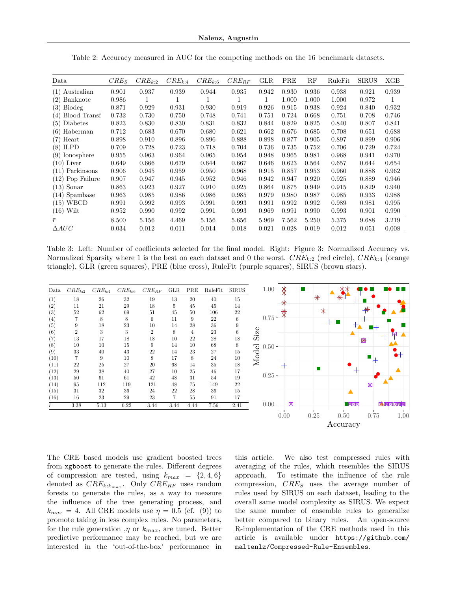| Data                | $CRE_S$ | $CRE_{k:2}$ | $CRE_{k:4}$ | $CRE_{k:6}$ | $CRE_{RF}$ | GLR   | PRE   | $_{\rm RF}$ | RuleFit | <b>SIRUS</b> | XGB   |
|---------------------|---------|-------------|-------------|-------------|------------|-------|-------|-------------|---------|--------------|-------|
| $(1)$ Australian    | 0.901   | 0.937       | 0.939       | 0.944       | 0.935      | 0.942 | 0.930 | 0.936       | 0.938   | 0.921        | 0.939 |
| Banknote<br>(2)     | 0.986   | 1           | 1           |             | 1          | 1     | 1.000 | 1.000       | 1.000   | 0.972        | 1     |
| Biodeg<br>(3)       | 0.871   | 0.929       | 0.931       | 0.930       | 0.919      | 0.926 | 0.915 | 0.938       | 0.924   | 0.840        | 0.932 |
| Blood Transf<br>(4) | 0.732   | 0.730       | 0.750       | 0.748       | 0.741      | 0.751 | 0.724 | 0.668       | 0.751   | 0.708        | 0.746 |
| (5)<br>Diabetes     | 0.823   | 0.830       | 0.830       | 0.831       | 0.832      | 0.844 | 0.829 | 0.825       | 0.840   | 0.807        | 0.841 |
| Haberman<br>(6)     | 0.712   | 0.683       | 0.670       | 0.680       | 0.621      | 0.662 | 0.676 | 0.685       | 0.708   | 0.651        | 0.688 |
| Heart<br>(7)        | 0.898   | 0.910       | 0.896       | 0.896       | 0.888      | 0.898 | 0.877 | 0.905       | 0.897   | 0.899        | 0.906 |
| (8)<br><b>ILPD</b>  | 0.709   | 0.728       | 0.723       | 0.718       | 0.704      | 0.736 | 0.735 | 0.752       | 0.706   | 0.729        | 0.724 |
| Ionosphere<br>(9)   | 0.955   | 0.963       | 0.964       | 0.965       | 0.954      | 0.948 | 0.965 | 0.981       | 0.968   | 0.941        | 0.970 |
| $(10)$ Liver        | 0.649   | 0.666       | 0.679       | 0.644       | 0.667      | 0.646 | 0.623 | 0.564       | 0.657   | 0.644        | 0.654 |
| Parkinsons<br>(11)  | 0.906   | 0.945       | 0.959       | 0.950       | 0.968      | 0.915 | 0.857 | 0.953       | 0.960   | 0.888        | 0.962 |
| Pop Failure<br>(12) | 0.907   | 0.947       | 0.945       | 0.952       | 0.946      | 0.942 | 0.947 | 0.920       | 0.925   | 0.889        | 0.946 |
| (13)<br>Sonar       | 0.863   | 0.923       | 0.927       | 0.910       | 0.925      | 0.864 | 0.875 | 0.949       | 0.915   | 0.829        | 0.940 |
| Spambase<br>(14)    | 0.963   | 0.985       | 0.986       | 0.986       | 0.985      | 0.979 | 0.980 | 0.987       | 0.985   | 0.933        | 0.988 |
| <b>WBCD</b><br>(15) | 0.991   | 0.992       | 0.993       | 0.991       | 0.993      | 0.991 | 0.992 | 0.992       | 0.989   | 0.981        | 0.995 |
| (16)<br>Wilt        | 0.952   | 0.990       | 0.992       | 0.991       | 0.993      | 0.969 | 0.991 | 0.990       | 0.993   | 0.901        | 0.990 |
| $\bar{r}$           | 8.500   | 5.156       | 4.469       | 5.156       | 5.656      | 5.969 | 7.562 | 5.250       | 5.375   | 9.688        | 3.219 |
| $\Delta AUC$        | 0.034   | 0.012       | 0.011       | 0.014       | 0.018      | 0.021 | 0.028 | 0.019       | 0.012   | 0.051        | 0.008 |

Table 2: Accuracy measured in AUC for the competing methods on the 16 benchmark datasets.

Table 3: Left: Number of coefficients selected for the final model. Right: Figure 3: Normalized Accuracy vs. Normalized Sparsity where 1 is the best on each dataset and 0 the worst.  $CRE_{k:2}$  (red circle),  $CRE_{k:4}$  (orange triangle), GLR (green squares), PRE (blue cross), RuleFit (purple squares), SIRUS (brown stars).

| Data              | $CRE_{k:2}$    | $CRE_{k:4}$ | $CRE_{k:6}$ | $CRE_{RF}$     | GLR  | PRE  | RuleFit | <b>SIRUS</b> | $1.00 -$ | 类    |        |              |                  |
|-------------------|----------------|-------------|-------------|----------------|------|------|---------|--------------|----------|------|--------|--------------|------------------|
| (1)               | 18             | 26          | 32          | 19             | 13   | 20   | 40      | 15           |          |      | $\ast$ |              |                  |
| (2)               | 11             | 21          | 29          | 18             | 5    | 45   | 45      | 14           |          |      |        |              |                  |
| $\left( 3\right)$ | 52             | 62          | 69          | 51             | 45   | 50   | 106     | 22           |          | 茶    | $\ast$ |              |                  |
| (4)               |                | 8           | 8           | 6              | 11   | 9    | 22      | 6            | 0.75     |      |        |              |                  |
| (5)               | 9              | 18          | 23          | 10             | 14   | 28   | 36      | 9            |          |      |        |              |                  |
| (6)               | $\overline{2}$ | 3           | 3           | $\overline{2}$ | 8    | 4    | 23      | 6            | Size     |      |        |              |                  |
| (7)               | 13             | 17          | 18          | 18             | 10   | 22   | 28      | 18           |          |      |        | 岗            |                  |
| (8)               | 10             | 10          | 15          | 9              | 14   | 10   | 68      | 8            | $0.50 -$ |      |        |              |                  |
| (9)               | 33             | 40          | 43          | 22             | 14   | 23   | 27      | 15           |          |      |        |              |                  |
| (10)              |                | 9           | 10          | 8              | 17   | 8    | 24      | 10           | Model    |      |        |              | ᅿ                |
| (11)              | 22             | 25          | 27          | 20             | 68   | 14   | 35      | 18           |          |      |        |              |                  |
| $^{(12)}$         | 29             | 38          | 40          | 27             | 10   | 25   | 46      | 17           |          |      |        |              |                  |
| (13)              | 50             | 61          | 61          | 42             | 48   | 31   | 54      | 19           | $0.25 -$ |      |        |              |                  |
| (14)              | 95             | 112         | 119         | 121            | 48   | 75   | 149     | 22           |          |      |        | ⊠            |                  |
| (15)              | 31             | 32          | 36          | 24             | 22   | 28   | 36      | 15           |          |      |        | ▲            |                  |
| (16)              | 16             | 23          | 29          | 23             | 7    | 55   | 91      | 17           |          |      |        |              |                  |
| $\bar{r}$         | $3.38\,$       | 5.13        | 6.22        | 3.44           | 3.44 | 4.44 | 7.56    | 2.41         | $0.00 -$ | ø    |        | <b>XXX</b>   | <b>X XX XXXX</b> |
|                   |                |             |             |                |      |      |         |              |          | 0.00 | 0.25   | 0.50<br>0.75 | 1.00             |

The CRE based models use gradient boosted trees from xgboost to generate the rules. Different degrees of compression are tested, using  $k_{max} = \{2, 4, 6\}$ denoted as  $CRE_{k:k_{max}}$ . Only  $CRE_{RF}$  uses random forests to generate the rules, as a way to measure the influence of the tree generating process, and  $k_{max} = 4$ . All CRE models use  $\eta = 0.5$  (cf. (9)) to promote taking in less complex rules. No parameters, for the rule generation  $, \eta$  or  $k_{max}$ , are tuned. Better predictive performance may be reached, but we are interested in the 'out-of-the-box' performance in this article. We also test compressed rules with averaging of the rules, which resembles the SIRUS approach. To estimate the influence of the rule compression,  $CRE_S$  uses the average number of rules used by SIRUS on each dataset, leading to the overall same model complexity as SIRUS. We expect the same number of ensemble rules to generalize better compared to binary rules. An open-source R-implementation of the CRE methods used in this article is available under https://github.com/ maltenlz/Compressed-Rule-Ensembles.

Accuracy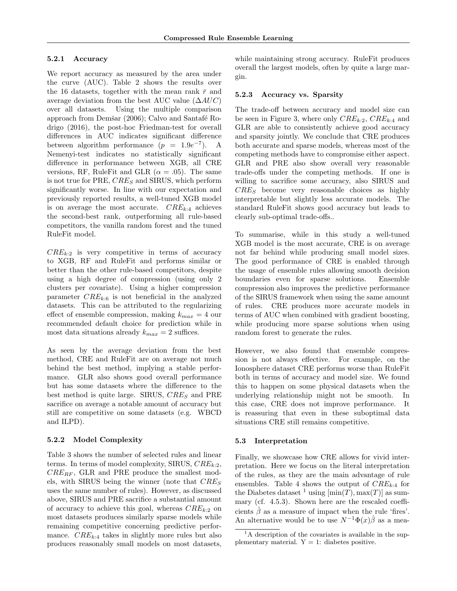#### 5.2.1 Accuracy

We report accuracy as measured by the area under the curve (AUC). Table 2 shows the results over the 16 datasets, together with the mean rank  $\bar{r}$  and average deviation from the best AUC value  $(\Delta AUC)$ over all datasets. Using the multiple comparison approach from Demšar (2006); Calvo and Santafé Rodrigo (2016), the post-hoc Friedman-test for overall differences in AUC indicates significant difference between algorithm performance  $(p = 1.9e^{-7})$ . A Nemenyi-test indicates no statistically significant difference in performance between XGB, all CRE versions, RF, RuleFit and GLR ( $\alpha = .05$ ). The same is not true for PRE,  $CRE_S$  and SIRUS, which perform significantly worse. In line with our expectation and previously reported results, a well-tuned XGB model is on average the most accurate.  $CRE_{k:4}$  achieves the second-best rank, outperforming all rule-based competitors, the vanilla random forest and the tuned RuleFit model.

 $CRE_{k:2}$  is very competitive in terms of accuracy to XGB, RF and RuleFit and performs similar or better than the other rule-based competitors, despite using a high degree of compression (using only 2 clusters per covariate). Using a higher compression parameter  $CRE_{k:6}$  is not beneficial in the analyzed datasets. This can be attributed to the regularizing effect of ensemble compression, making  $k_{max} = 4$  our recommended default choice for prediction while in most data situations already  $k_{max} = 2$  suffices.

As seen by the average deviation from the best method, CRE and RuleFit are on average not much behind the best method, implying a stable performance. GLR also shows good overall performance but has some datasets where the difference to the best method is quite large. SIRUS,  $CRE_S$  and PRE sacrifice on average a notable amount of accuracy but still are competitive on some datasets (e.g. WBCD and ILPD).

#### 5.2.2 Model Complexity

Table 3 shows the number of selected rules and linear terms. In terms of model complexity, SIRUS,  $CRE_{k:2}$ ,  $CRE_{RF}$ , GLR and PRE produce the smallest models, with SIRUS being the winner (note that  $CRE_S$ uses the same number of rules). However, as discussed above, SIRUS and PRE sacrifice a substantial amount of accuracy to achieve this goal, whereas  $CRE_{k:2}$  on most datasets produces similarly sparse models while remaining competitive concerning predictive performance.  $CRE_{k:4}$  takes in slightly more rules but also produces reasonably small models on most datasets, while maintaining strong accuracy. RuleFit produces overall the largest models, often by quite a large margin.

#### 5.2.3 Accuracy vs. Sparsity

The trade-off between accuracy and model size can be seen in Figure 3, where only  $CRE_{k:2}$ ,  $CRE_{k:4}$  and GLR are able to consistently achieve good accuracy and sparsity jointly. We conclude that CRE produces both accurate and sparse models, whereas most of the competing methods have to compromise either aspect. GLR and PRE also show overall very reasonable trade-offs under the competing methods. If one is willing to sacrifice some accuracy, also SIRUS and  $CRE<sub>S</sub>$  become very reasonable choices as highly interpretable but slightly less accurate models. The standard RuleFit shows good accuracy but leads to clearly sub-optimal trade-offs..

To summarise, while in this study a well-tuned XGB model is the most accurate, CRE is on average not far behind while producing small model sizes. The good performance of CRE is enabled through the usage of ensemble rules allowing smooth decision boundaries even for sparse solutions. Ensemble compression also improves the predictive performance of the SIRUS framework when using the same amount of rules. CRE produces more accurate models in terms of AUC when combined with gradient boosting, while producing more sparse solutions when using random forest to generate the rules.

However, we also found that ensemble compression is not always effective. For example, on the Ionosphere dataset CRE performs worse than RuleFit both in terms of accuracy and model size. We found this to happen on some physical datasets when the underlying relationship might not be smooth. In this case, CRE does not improve performance. It is reassuring that even in these suboptimal data situations CRE still remains competitive.

#### 5.3 Interpretation

Finally, we showcase how CRE allows for vivid interpretation. Here we focus on the literal interpretation of the rules, as they are the main advantage of rule ensembles. Table 4 shows the output of  $CRE_{k:4}$  for the Diabetes dataset <sup>1</sup> using  $[\min(T), \max(T)]$  as summary (cf. 4.5.3). Shown here are the rescaled coefficients  $\hat{\beta}$  as a measure of impact when the rule 'fires'. An alternative would be to use  $N^{-1}\Phi(x)\hat{\beta}$  as a mea-

<sup>&</sup>lt;sup>1</sup>A description of the covariates is available in the supplementary material.  $Y = 1$ : diabetes positive.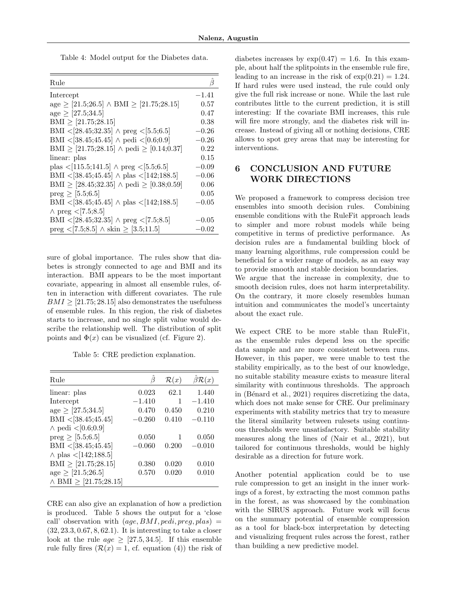Table 4: Model output for the Diabetes data.

| Rule                                                                             |          |
|----------------------------------------------------------------------------------|----------|
| Intercept                                                                        | $-1.41$  |
| age $\geq$ [21.5;26.5] $\land$ BMI $\geq$ [21.75;28.15]                          | 0.57     |
| $age \geq [27.5;34.5]$                                                           | 0.47     |
| $\text{BMI} \geq [21.75;28.15]$                                                  | 0.38     |
| BMI < [28.45;32.35] $\land$ preg < [5.5;6.5]                                     | $-0.26$  |
| BMI < [38.45;45.45] $\land$ pedi < [0.6;0.9]                                     | $-0.26$  |
| BMI $\geq$ [21.75;28.15] $\land$ pedi $\geq$ [0.14;0.37]                         | $0.22\,$ |
| linear: plas                                                                     | 0.15     |
| plas $\langle 115.5; 141.5 \rangle \wedge \text{preg } \langle 5.5; 6.5 \rangle$ | $-0.09$  |
| BMI < [38.45;45.45] $\land$ plas < [142;188.5]                                   | $-0.06$  |
| BMI $\geq$ [28.45;32.35] $\land$ pedi $\geq$ [0.38;0.59]                         | 0.06     |
| $preg \geq 5.5; 6.5$                                                             | 0.05     |
| BMI < [38.45;45.45] $\land$ plas < [142;188.5]                                   | $-0.05$  |
| $\land$ preg < [7.5;8.5]                                                         |          |
| BMI < $[28.45;32.35]$ $\land$ preg < $[7.5;8.5]$                                 | $-0.05$  |
| $preg < [7.5; 8.5] \wedge$ skin $\geq [3.5; 11.5]$                               | $-0.02$  |

sure of global importance. The rules show that diabetes is strongly connected to age and BMI and its interaction. BMI appears to be the most important covariate, appearing in almost all ensemble rules, often in interaction with different covariates. The rule  $BMI \geq [21.75; 28.15]$  also demonstrates the usefulness of ensemble rules. In this region, the risk of diabetes starts to increase, and no single split value would describe the relationship well. The distribution of split points and  $\Phi(x)$  can be visualized (cf. Figure 2).

Table 5: CRE prediction explanation.

| Rule                             | ß        | $\mathcal{R}(x)$ | $\beta \mathcal{R}(x)$ |
|----------------------------------|----------|------------------|------------------------|
| linear: plas                     | 0.023    | 62.1             | 1.440                  |
| Intercept                        | $-1.410$ | 1                | $-1.410$               |
| $age \geq [27.5;34.5]$           | 0.470    | 0.450            | 0.210                  |
| BMI < $[38.45;45.45]$            | $-0.260$ | 0.410            | $-0.110$               |
| $\land$ pedi < [0.6;0.9]         |          |                  |                        |
| $preg \ge [5.5; 6.5]$            | 0.050    | 1                | 0.050                  |
| BMI < $[38.45;45.45]$            | $-0.060$ | 0.200            | $-0.010$               |
| $\land$ plas < [142;188.5]       |          |                  |                        |
| BMI $\geq$ [21.75;28.15]         | 0.380    | 0.020            | 0.010                  |
| $age \geq [21.5;26.5]$           | 0.570    | 0.020            | 0.010                  |
| $\land$ BMI $\geq$ [21.75;28.15] |          |                  |                        |

CRE can also give an explanation of how a prediction is produced. Table 5 shows the output for a 'close call' observation with  $(age, BMI, pedi, preg, plas)$  = (32, 23.3, 0.67, 8, 62.1). It is interesting to take a closer look at the rule  $age \geq [27.5, 34.5]$ . If this ensemble rule fully fires  $(R(x) = 1, c f$ . equation (4)) the risk of diabetes increases by  $\exp(0.47) = 1.6$ . In this example, about half the splitpoints in the ensemble rule fire, leading to an increase in the risk of  $\exp(0.21) = 1.24$ . If hard rules were used instead, the rule could only give the full risk increase or none. While the last rule contributes little to the current prediction, it is still interesting: If the covariate BMI increases, this rule will fire more strongly, and the diabetes risk will increase. Instead of giving all or nothing decisions, CRE allows to spot grey areas that may be interesting for interventions.

## 6 CONCLUSION AND FUTURE WORK DIRECTIONS

We proposed a framework to compress decision tree ensembles into smooth decision rules. Combining ensemble conditions with the RuleFit approach leads to simpler and more robust models while being competitive in terms of predictive performance. As decision rules are a fundamental building block of many learning algorithms, rule compression could be beneficial for a wider range of models, as an easy way to provide smooth and stable decision boundaries.

We argue that the increase in complexity, due to smooth decision rules, does not harm interpretability. On the contrary, it more closely resembles human intuition and communicates the model's uncertainty about the exact rule.

We expect CRE to be more stable than RuleFit, as the ensemble rules depend less on the specific data sample and are more consistent between runs. However, in this paper, we were unable to test the stability empirically, as to the best of our knowledge, no suitable stability measure exists to measure literal similarity with continuous thresholds. The approach in (Bénard et al., 2021) requires discretizing the data, which does not make sense for CRE. Our preliminary experiments with stability metrics that try to measure the literal similarity between rulesets using continuous thresholds were unsatisfactory. Suitable stability measures along the lines of (Nair et al., 2021), but tailored for continuous thresholds, would be highly desirable as a direction for future work.

Another potential application could be to use rule compression to get an insight in the inner workings of a forest, by extracting the most common paths in the forest, as was showcased by the combination with the SIRUS approach. Future work will focus on the summary potential of ensemble compression as a tool for black-box interpretation by detecting and visualizing frequent rules across the forest, rather than building a new predictive model.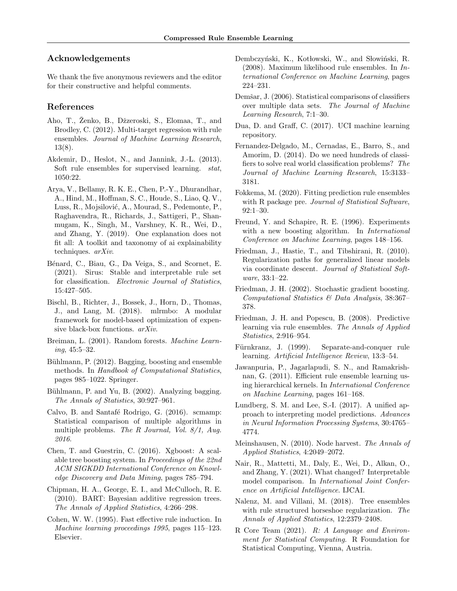### Acknowledgements

We thank the five anonymous reviewers and the editor for their constructive and helpful comments.

### References

- Aho, T., Ženko, B., Džzeroski, S., Elomaa, T., and Brodley, C. (2012). Multi-target regression with rule ensembles. Journal of Machine Learning Research, 13(8).
- Akdemir, D., Heslot, N., and Jannink, J.-L. (2013). Soft rule ensembles for supervised learning. stat, 1050:22.
- Arya, V., Bellamy, R. K. E., Chen, P.-Y., Dhurandhar, A., Hind, M., Hoffman, S. C., Houde, S., Liao, Q. V., Luss, R., Mojsilović, A., Mourad, S., Pedemonte, P., Raghavendra, R., Richards, J., Sattigeri, P., Shanmugam, K., Singh, M., Varshney, K. R., Wei, D., and Zhang, Y. (2019). One explanation does not fit all: A toolkit and taxonomy of ai explainability techniques. arXiv.
- Bénard, C., Biau, G., Da Veiga, S., and Scornet, E. (2021). Sirus: Stable and interpretable rule set for classification. Electronic Journal of Statistics, 15:427–505.
- Bischl, B., Richter, J., Bossek, J., Horn, D., Thomas, J., and Lang, M. (2018). mlrmbo: A modular framework for model-based optimization of expensive black-box functions. arXiv.
- Breiman, L. (2001). Random forests. Machine Learning, 45:5–32.
- Bühlmann, P. (2012). Bagging, boosting and ensemble methods. In Handbook of Computational Statistics, pages 985–1022. Springer.
- Bühlmann, P. and Yu, B. (2002). Analyzing bagging. The Annals of Statistics, 30:927–961.
- Calvo, B. and Santafé Rodrigo, G. (2016). scmamp: Statistical comparison of multiple algorithms in multiple problems. The R Journal, Vol. 8/1, Aug. 2016.
- Chen, T. and Guestrin, C. (2016). Xgboost: A scalable tree boosting system. In Proceedings of the 22nd ACM SIGKDD International Conference on Knowledge Discovery and Data Mining, pages 785–794.
- Chipman, H. A., George, E. I., and McCulloch, R. E. (2010). BART: Bayesian additive regression trees. The Annals of Applied Statistics, 4:266–298.
- Cohen, W. W. (1995). Fast effective rule induction. In Machine learning proceedings 1995, pages 115–123. Elsevier.
- Dembczyński, K., Kotłowski, W., and Słowiński, R. (2008). Maximum likelihood rule ensembles. In International Conference on Machine Learning, pages 224–231.
- Demšar, J. (2006). Statistical comparisons of classifiers over multiple data sets. The Journal of Machine Learning Research, 7:1–30.
- Dua, D. and Graff, C. (2017). UCI machine learning repository.
- Fernandez-Delgado, M., Cernadas, E., Barro, S., and Amorim, D. (2014). Do we need hundreds of classifiers to solve real world classification problems? The Journal of Machine Learning Research, 15:3133– 3181.
- Fokkema, M. (2020). Fitting prediction rule ensembles with R package pre. Journal of Statistical Software, 92:1–30.
- Freund, Y. and Schapire, R. E. (1996). Experiments with a new boosting algorithm. In *International* Conference on Machine Learning, pages 148–156.
- Friedman, J., Hastie, T., and Tibshirani, R. (2010). Regularization paths for generalized linear models via coordinate descent. Journal of Statistical Software, 33:1–22.
- Friedman, J. H. (2002). Stochastic gradient boosting. Computational Statistics & Data Analysis, 38:367– 378.
- Friedman, J. H. and Popescu, B. (2008). Predictive learning via rule ensembles. The Annals of Applied Statistics, 2:916–954.
- Fürnkranz, J. (1999). Separate-and-conquer rule learning. Artificial Intelligence Review, 13:3–54.
- Jawanpuria, P., Jagarlapudi, S. N., and Ramakrishnan, G. (2011). Efficient rule ensemble learning using hierarchical kernels. In International Conference on Machine Learning, pages 161–168.
- Lundberg, S. M. and Lee, S.-I. (2017). A unified approach to interpreting model predictions. Advances in Neural Information Processing Systems, 30:4765– 4774.
- Meinshausen, N. (2010). Node harvest. The Annals of Applied Statistics, 4:2049–2072.
- Nair, R., Mattetti, M., Daly, E., Wei, D., Alkan, O., and Zhang, Y. (2021). What changed? Interpretable model comparison. In International Joint Conference on Artificial Intelligence. IJCAI.
- Nalenz, M. and Villani, M. (2018). Tree ensembles with rule structured horseshoe regularization. The Annals of Applied Statistics, 12:2379–2408.
- R Core Team (2021). R: A Language and Environment for Statistical Computing. R Foundation for Statistical Computing, Vienna, Austria.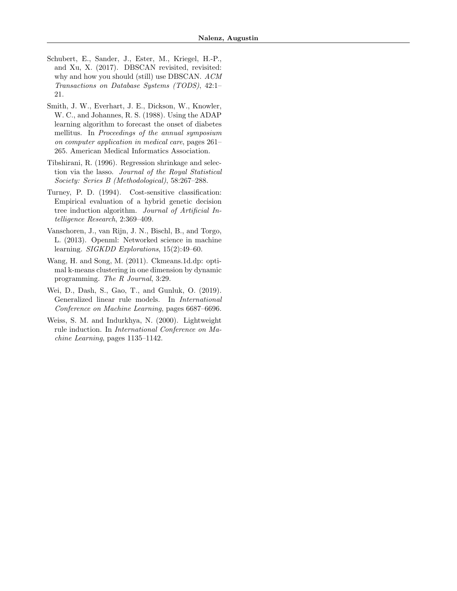- Schubert, E., Sander, J., Ester, M., Kriegel, H.-P., and Xu, X. (2017). DBSCAN revisited, revisited: why and how you should (still) use DBSCAN. ACM Transactions on Database Systems (TODS), 42:1– 21.
- Smith, J. W., Everhart, J. E., Dickson, W., Knowler, W. C., and Johannes, R. S. (1988). Using the ADAP learning algorithm to forecast the onset of diabetes mellitus. In Proceedings of the annual symposium on computer application in medical care, pages 261– 265. American Medical Informatics Association.
- Tibshirani, R. (1996). Regression shrinkage and selection via the lasso. Journal of the Royal Statistical Society: Series B (Methodological), 58:267–288.
- Turney, P. D. (1994). Cost-sensitive classification: Empirical evaluation of a hybrid genetic decision tree induction algorithm. Journal of Artificial Intelligence Research, 2:369–409.
- Vanschoren, J., van Rijn, J. N., Bischl, B., and Torgo, L. (2013). Openml: Networked science in machine learning. SIGKDD Explorations, 15(2):49–60.
- Wang, H. and Song, M. (2011). Ckmeans.1d.dp: optimal k-means clustering in one dimension by dynamic programming. The R Journal, 3:29.
- Wei, D., Dash, S., Gao, T., and Gunluk, O. (2019). Generalized linear rule models. In International Conference on Machine Learning, pages 6687–6696.
- Weiss, S. M. and Indurkhya, N. (2000). Lightweight rule induction. In International Conference on Machine Learning, pages 1135–1142.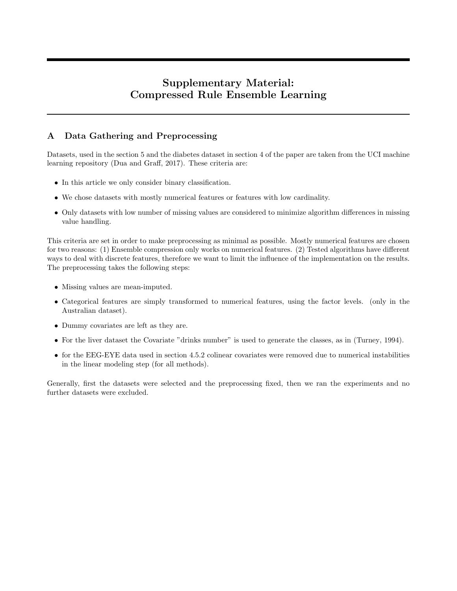# Supplementary Material: Compressed Rule Ensemble Learning

## A Data Gathering and Preprocessing

Datasets, used in the section 5 and the diabetes dataset in section 4 of the paper are taken from the UCI machine learning repository (Dua and Graff, 2017). These criteria are:

- In this article we only consider binary classification.
- We chose datasets with mostly numerical features or features with low cardinality.
- Only datasets with low number of missing values are considered to minimize algorithm differences in missing value handling.

This criteria are set in order to make preprocessing as minimal as possible. Mostly numerical features are chosen for two reasons: (1) Ensemble compression only works on numerical features. (2) Tested algorithms have different ways to deal with discrete features, therefore we want to limit the influence of the implementation on the results. The preprocessing takes the following steps:

- Missing values are mean-imputed.
- Categorical features are simply transformed to numerical features, using the factor levels. (only in the Australian dataset).
- Dummy covariates are left as they are.
- For the liver dataset the Covariate "drinks number" is used to generate the classes, as in (Turney, 1994).
- for the EEG-EYE data used in section 4.5.2 colinear covariates were removed due to numerical instabilities in the linear modeling step (for all methods).

Generally, first the datasets were selected and the preprocessing fixed, then we ran the experiments and no further datasets were excluded.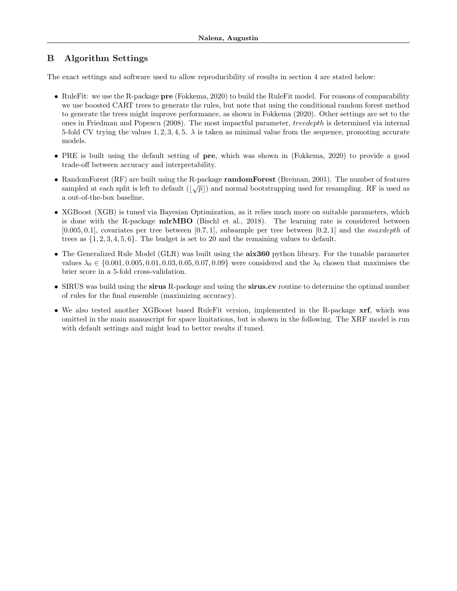## B Algorithm Settings

The exact settings and software used to allow reproducibility of results in section 4 are stated below:

- RuleFit: we use the R-package **pre** (Fokkema, 2020) to build the RuleFit model. For reasons of comparability we use boosted CART trees to generate the rules, but note that using the conditional random forest method to generate the trees might improve performance, as shown in Fokkema (2020). Other settings are set to the ones in Friedman and Popescu (2008). The most impactful parameter, treedepth is determined via internal 5-fold CV trying the values 1, 2, 3, 4, 5.  $\lambda$  is taken as minimal value from the sequence, promoting accurate models.
- PRE is built using the default setting of pre, which was shown in (Fokkema, 2020) to provide a good trade-off between accuracy and interpretability.
- RandomForest (RF) are built using the R-package randomForest (Breiman, 2001). The number of features readom-order (RF) are built using the R-package **random-order** (Dielman, 2001). The number of leading<br>sampled at each split is left to default  $(\sqrt{p})$  and normal bootstrapping used for resampling. RF is used as a out-of-the-box baseline.
- XGBoost (XGB) is tuned via Bayesian Optimization, as it relies much more on suitable parameters, which is done with the R-package mlrMBO (Bischl et al., 2018). The learning rate is considered between  $[0.005, 0.1]$ , covariates per tree between  $[0.7, 1]$ , subsample per tree between  $[0.2, 1]$  and the maxdepth of trees as  $\{1, 2, 3, 4, 5, 6\}$ . The budget is set to 20 and the remaining values to default.
- The Generalized Rule Model (GLR) was built using the **aix360** python library. For the tunable parameter values  $\lambda_0 \in \{0.001, 0.005, 0.01, 0.03, 0.05, 0.07, 0.09\}$  were considered and the  $\lambda_0$  chosen that maximises the brier score in a 5-fold cross-validation.
- SIRUS was build using the sirus R-package and using the sirus.cv routine to determine the optimal number of rules for the final ensemble (maximizing accuracy).
- We also tested another XGBoost based RuleFit version, implemented in the R-package **xrf**, which was omitted in the main manuscript for space limitations, but is shown in the following. The XRF model is run with default settings and might lead to better results if tuned.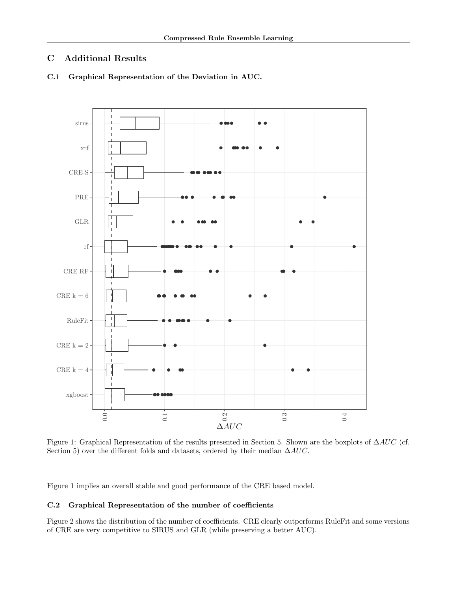## C Additional Results



C.1 Graphical Representation of the Deviation in AUC.

Figure 1: Graphical Representation of the results presented in Section 5. Shown are the boxplots of ∆AUC (cf. Section 5) over the different folds and datasets, ordered by their median ∆AUC.

Figure 1 implies an overall stable and good performance of the CRE based model.

### C.2 Graphical Representation of the number of coefficients

Figure 2 shows the distribution of the number of coefficients. CRE clearly outperforms RuleFit and some versions of CRE are very competitive to SIRUS and GLR (while preserving a better AUC).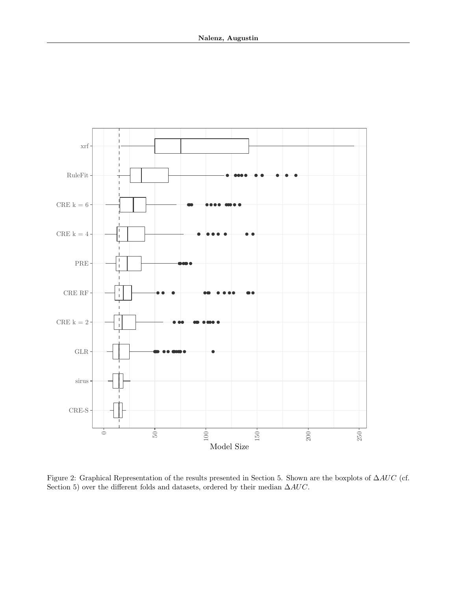

Figure 2: Graphical Representation of the results presented in Section 5. Shown are the boxplots of ∆AUC (cf. Section 5) over the different folds and datasets, ordered by their median  $\Delta AUC.$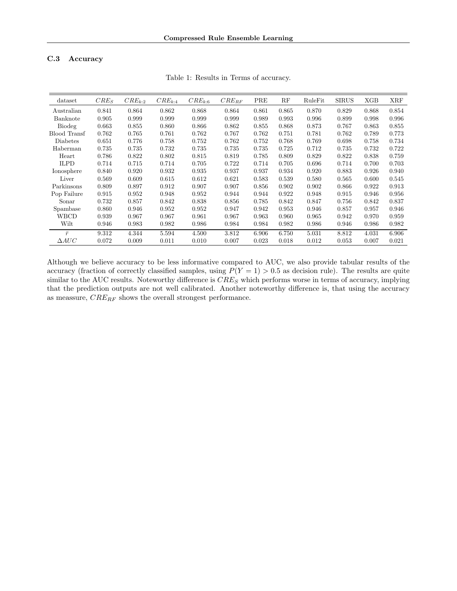### C.3 Accuracy

| dataset             | $CRE_S$ | $CRE_{k:2}$ | $CRE_{k:4}$ | $CRE_{k:6}$ | $CRE_{RF}$ | PRE   | RF    | RuleFit | <b>SIRUS</b> | XGB   | <b>XRF</b> |
|---------------------|---------|-------------|-------------|-------------|------------|-------|-------|---------|--------------|-------|------------|
| Australian          | 0.841   | 0.864       | 0.862       | 0.868       | 0.864      | 0.861 | 0.865 | 0.870   | 0.829        | 0.868 | 0.854      |
| Banknote            | 0.905   | 0.999       | 0.999       | 0.999       | 0.999      | 0.989 | 0.993 | 0.996   | 0.899        | 0.998 | 0.996      |
| Biodeg              | 0.663   | 0.855       | 0.860       | 0.866       | 0.862      | 0.855 | 0.868 | 0.873   | 0.767        | 0.863 | 0.855      |
| <b>Blood Transf</b> | 0.762   | 0.765       | 0.761       | 0.762       | 0.767      | 0.762 | 0.751 | 0.781   | 0.762        | 0.789 | 0.773      |
| <b>Diabetes</b>     | 0.651   | 0.776       | 0.758       | 0.752       | 0.762      | 0.752 | 0.768 | 0.769   | 0.698        | 0.758 | 0.734      |
| Haberman            | 0.735   | 0.735       | 0.732       | 0.735       | 0.735      | 0.735 | 0.725 | 0.712   | 0.735        | 0.732 | 0.722      |
| Heart               | 0.786   | 0.822       | 0.802       | 0.815       | 0.819      | 0.785 | 0.809 | 0.829   | 0.822        | 0.838 | 0.759      |
| <b>ILPD</b>         | 0.714   | 0.715       | 0.714       | 0.705       | 0.722      | 0.714 | 0.705 | 0.696   | 0.714        | 0.700 | 0.703      |
| Ionosphere          | 0.840   | 0.920       | 0.932       | 0.935       | 0.937      | 0.937 | 0.934 | 0.920   | 0.883        | 0.926 | 0.940      |
| Liver               | 0.569   | 0.609       | 0.615       | 0.612       | 0.621      | 0.583 | 0.539 | 0.580   | 0.565        | 0.600 | 0.545      |
| Parkinsons          | 0.809   | 0.897       | 0.912       | 0.907       | 0.907      | 0.856 | 0.902 | 0.902   | 0.866        | 0.922 | 0.913      |
| Pop Failure         | 0.915   | 0.952       | 0.948       | 0.952       | 0.944      | 0.944 | 0.922 | 0.948   | 0.915        | 0.946 | 0.956      |
| Sonar               | 0.732   | 0.857       | 0.842       | 0.838       | 0.856      | 0.785 | 0.842 | 0.847   | 0.756        | 0.842 | 0.837      |
| Spambase            | 0.860   | 0.946       | 0.952       | 0.952       | 0.947      | 0.942 | 0.953 | 0.946   | 0.857        | 0.957 | 0.946      |
| <b>WBCD</b>         | 0.939   | 0.967       | 0.967       | 0.961       | 0.967      | 0.963 | 0.960 | 0.965   | 0.942        | 0.970 | 0.959      |
| Wilt                | 0.946   | 0.983       | 0.982       | 0.986       | 0.984      | 0.984 | 0.982 | 0.986   | 0.946        | 0.986 | 0.982      |
| $\bar{r}$           | 9.312   | 4.344       | 5.594       | 4.500       | 3.812      | 6.906 | 6.750 | 5.031   | 8.812        | 4.031 | 6.906      |
| $\triangle AUC$     | 0.072   | 0.009       | 0.011       | 0.010       | 0.007      | 0.023 | 0.018 | 0.012   | 0.053        | 0.007 | 0.021      |

Table 1: Results in Terms of accuracy.

Although we believe accuracy to be less informative compared to AUC, we also provide tabular results of the accuracy (fraction of correctly classified samples, using  $P(Y = 1) > 0.5$  as decision rule). The results are quite similar to the AUC results. Noteworthy difference is  $CRE_S$  which performs worse in terms of accuracy, implying that the prediction outputs are not well calibrated. Another noteworthy difference is, that using the accuracy as meassure,  $CRE_{RF}$  shows the overall strongest performance.